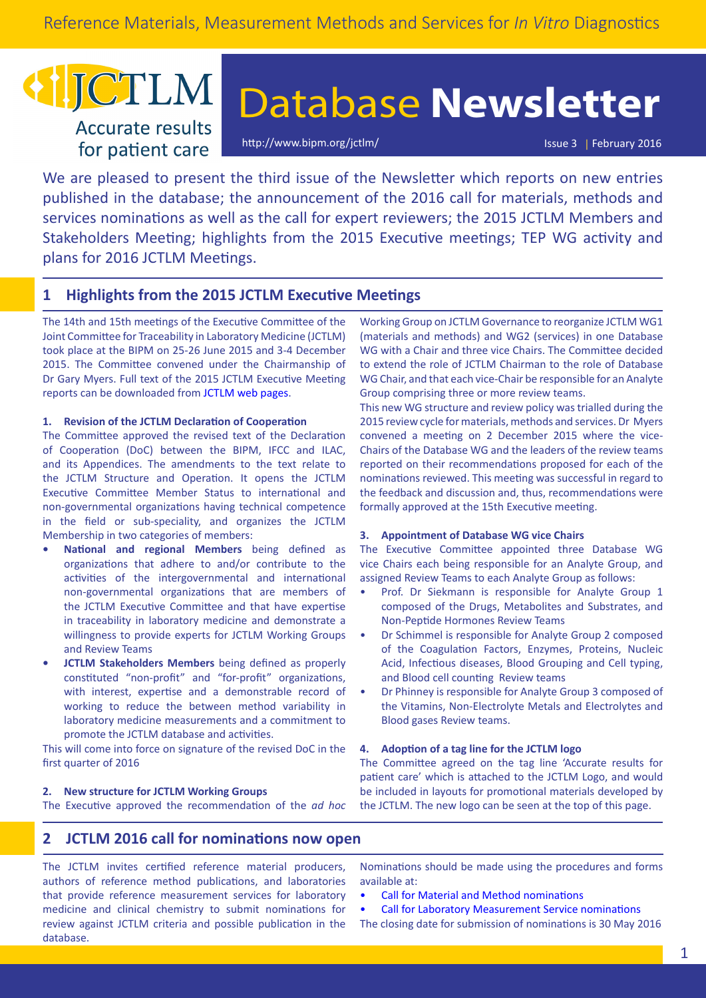## **ICTLM Accurate results**

for patient care

# Database **Newsletter**

<http://www.bipm.org/jctlm/> Issue 3 | February 2016

We are pleased to present the third issue of the Newsletter which reports on new entries published in the database; the announcement of the 2016 call for materials, methods and services nominations as well as the call for expert reviewers; the 2015 JCTLM Members and Stakeholders Meeting; highlights from the 2015 Executive meetings; TEP WG activity and plans for 2016 JCTLM Meetings.

## **1 Highlights from the 2015 JCTLM Executive Meetings**

The 14th and 15th meetings of the Executive Committee of the Joint Committee for Traceability in Laboratory Medicine (JCTLM) took place at the BIPM on 25-26 June 2015 and 3-4 December 2015. The Committee convened under the Chairmanship of Dr Gary Myers. Full text of the 2015 JCTLM Executive Meeting reports can be downloaded from [JCTLM web pages](http://www.bipm.org/en/committees/cc/wg/jctlm-exec.html#reports).

#### **1. Revision of the JCTLM Declaration of Cooperation**

The Committee approved the revised text of the Declaration of Cooperation (DoC) between the BIPM, IFCC and ILAC, and its Appendices. The amendments to the text relate to the JCTLM Structure and Operation. It opens the JCTLM Executive Committee Member Status to international and non‑governmental organizations having technical competence in the field or sub-speciality, and organizes the JCTLM Membership in two categories of members:

- **• National and regional Members** being defined as organizations that adhere to and/or contribute to the activities of the intergovernmental and international non-governmental organizations that are members of the JCTLM Executive Committee and that have expertise in traceability in laboratory medicine and demonstrate a willingness to provide experts for JCTLM Working Groups and Review Teams
- **• JCTLM Stakeholders Members** being defined as properly constituted "non-profit" and "for-profit" organizations, with interest, expertise and a demonstrable record of working to reduce the between method variability in laboratory medicine measurements and a commitment to promote the JCTLM database and activities.

This will come into force on signature of the revised DoC in the first quarter of 2016

#### **2. New structure for JCTLM Working Groups**

The Executive approved the recommendation of the *ad hoc*

Working Group on JCTLM Governance to reorganize JCTLM WG1 (materials and methods) and WG2 (services) in one Database WG with a Chair and three vice Chairs. The Committee decided to extend the role of JCTLM Chairman to the role of Database WG Chair, and that each vice-Chair be responsible for an Analyte Group comprising three or more review teams.

This new WG structure and review policy was trialled during the 2015 review cycle for materials, methods and services. Dr Myers convened a meeting on 2 December 2015 where the vice-Chairs of the Database WG and the leaders of the review teams reported on their recommendations proposed for each of the nominations reviewed. This meeting was successful in regard to the feedback and discussion and, thus, recommendations were formally approved at the 15th Executive meeting.

#### **3. Appointment of Database WG vice Chairs**

The Executive Committee appointed three Database WG vice Chairs each being responsible for an Analyte Group, and assigned Review Teams to each Analyte Group as follows:

- Prof. Dr Siekmann is responsible for Analyte Group 1 composed of the Drugs, Metabolites and Substrates, and Non-Peptide Hormones Review Teams
- Dr Schimmel is responsible for Analyte Group 2 composed of the Coagulation Factors, Enzymes, Proteins, Nucleic Acid, Infectious diseases, Blood Grouping and Cell typing, and Blood cell counting Review teams
- Dr Phinney is responsible for Analyte Group 3 composed of the Vitamins, Non-Electrolyte Metals and Electrolytes and Blood gases Review teams.

#### **4. Adoption of a tag line for the JCTLM logo**

The Committee agreed on the tag line 'Accurate results for patient care' which is attached to the JCTLM Logo, and would be included in layouts for promotional materials developed by the JCTLM. The new logo can be seen at the top of this page.

## **2 JCTLM 2016 call for nominations now open**

The JCTLM invites certified reference material producers, authors of reference method publications, and laboratories that provide reference measurement services for laboratory medicine and clinical chemistry to submit nominations for review against JCTLM criteria and possible publication in the database.

Nominations should be made using the procedures and forms available at:

- [Call for Material and Method nominations](http://www.bipm.org/en/committees/cc/wg/jctlm-wg1.html#nominations)
- [Call for Laboratory Measurement Service nominations](http://www.bipm.org/en/committees/cc/wg/jctlm-wg2.html#nominations) [The closing date for submission of nominations is 30 May 2016](http://)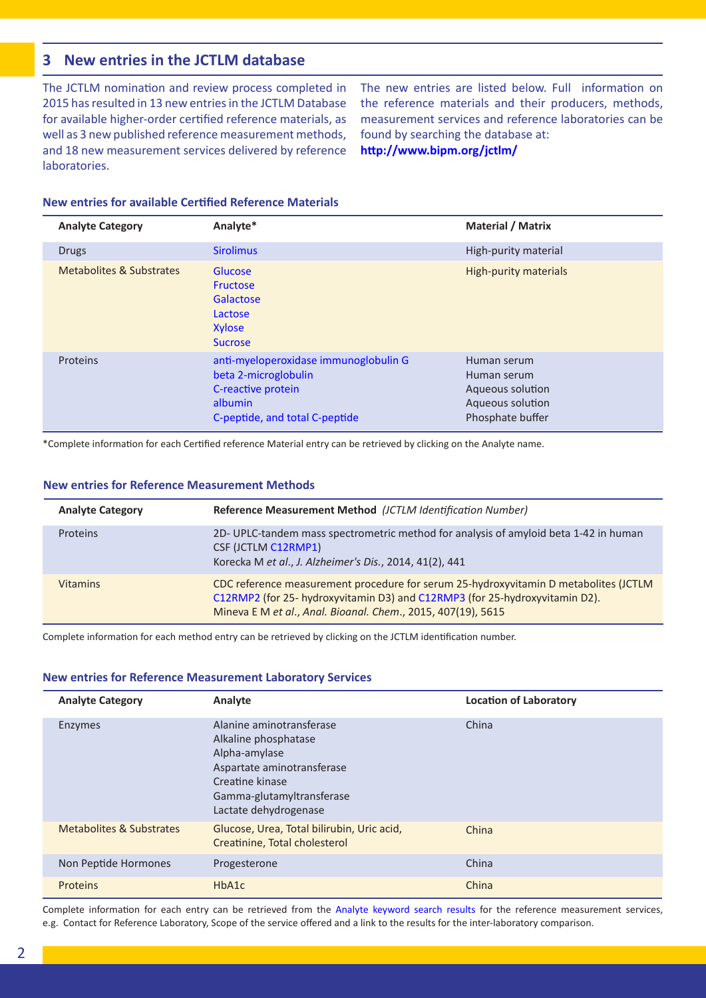## **3 New entries in the JCTLM database**

The JCTLM nomination and review process completed in 2015 has resulted in 13 new entries in the JCTLM Database for available higher-order certified reference materials, as well as 3 new published reference measurement methods, and 18 new measurement services delivered by reference laboratories.

The new entries are listed below. Full information on the reference materials and their producers, methods, measurement services and reference laboratories can be found by searching the database at:

**<http://www.bipm.org/jctlm/>**

| <b>Analyte Category</b>                                                                                                                      | Analyte*                                                                       | <b>Material / Matrix</b>                                                               |  |
|----------------------------------------------------------------------------------------------------------------------------------------------|--------------------------------------------------------------------------------|----------------------------------------------------------------------------------------|--|
| <b>Drugs</b>                                                                                                                                 | <b>Sirolimus</b>                                                               | High-purity material                                                                   |  |
| Metabolites & Substrates                                                                                                                     | Glucose<br><b>Fructose</b><br>Galactose<br>Lactose<br>Xylose<br><b>Sucrose</b> | High-purity materials                                                                  |  |
| anti-myeloperoxidase immunoglobulin G<br>Proteins<br>beta 2-microglobulin<br>C-reactive protein<br>albumin<br>C-peptide, and total C-peptide |                                                                                | Human serum<br>Human serum<br>Aqueous solution<br>Aqueous solution<br>Phosphate buffer |  |

### **New entries for available Certified Reference Materials**

\*Complete information for each Certified reference Material entry can be retrieved by clicking on the Analyte name.

| <b>New entries for Reference Measurement Methods</b> |
|------------------------------------------------------|
|                                                      |

| <b>Analyte Category</b> | Reference Measurement Method (JCTLM Identification Number)                                                                                                                                                                          |  |
|-------------------------|-------------------------------------------------------------------------------------------------------------------------------------------------------------------------------------------------------------------------------------|--|
| Proteins                | 2D- UPLC-tandem mass spectrometric method for analysis of amyloid beta 1-42 in human<br>CSF (JCTLM C12RMP1)<br>Korecka M et al., J. Alzheimer's Dis., 2014, 41(2), 441                                                              |  |
| <b>Vitamins</b>         | CDC reference measurement procedure for serum 25-hydroxyvitamin D metabolites (JCTLM<br>C12RMP2 (for 25- hydroxyvitamin D3) and C12RMP3 (for 25-hydroxyvitamin D2).<br>Mineva E M et al., Anal. Bioanal. Chem., 2015, 407(19), 5615 |  |

Complete information for each method entry can be retrieved by clicking on the JCTLM identification number.

#### **New entries for Reference Measurement Laboratory Services**

| <b>Analyte Category</b>  | Analyte                                                                                                                                                                  | <b>Location of Laboratory</b> |
|--------------------------|--------------------------------------------------------------------------------------------------------------------------------------------------------------------------|-------------------------------|
| Enzymes                  | Alanine aminotransferase<br>Alkaline phosphatase<br>Alpha-amylase<br>Aspartate aminotransferase<br>Creatine kinase<br>Gamma-glutamyltransferase<br>Lactate dehydrogenase | China                         |
| Metabolites & Substrates | Glucose, Urea, Total bilirubin, Uric acid,<br>Creatinine, Total cholesterol                                                                                              | China                         |
| Non Peptide Hormones     | Progesterone                                                                                                                                                             | China                         |
| HbA1c<br>Proteins        |                                                                                                                                                                          | China                         |

Complete information for each entry can be retrieved from the [Analyte keyword search results](http://www.bipm.org/jctlm/) for the reference measurement services, e.g. Contact for Reference Laboratory, Scope of the service offered and a link to the results for the inter-laboratory comparison.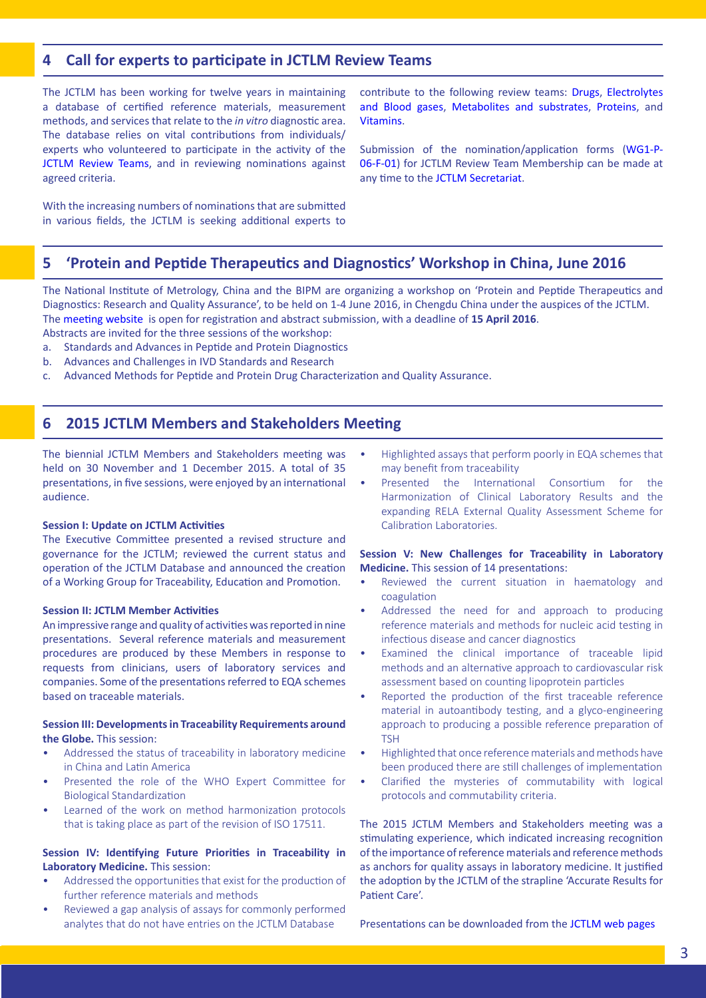## **4 Call for experts to participate in JCTLM Review Teams**

The JCTLM has been working for twelve years in maintaining a database of certified reference materials, measurement methods, and services that relate to the *in vitro* diagnostic area. The database relies on vital contributions from individuals/ experts who volunteered to participate in the activity of the [JCTLM Review Teams,](http://www.bipm.org/utils/common/pdf/JCTLM/JCTLM-review-teams-scope.pdf) and in reviewing nominations against agreed criteria.

With the increasing numbers of nominations that are submitted in various fields, the JCTLM is seeking additional experts to

contribute to the following review teams: [Drugs,](http://www.bipm.org/en/committees/cc/wg/jctlm-rt-drugs.html) [Electrolytes](http://www.bipm.org/en/committees/cc/wg/jctlm-rt-electrolytes.html) [and Blood gases,](http://www.bipm.org/en/committees/cc/wg/jctlm-rt-electrolytes.html) [Metabolites and substrates](http://www.bipm.org/en/committees/cc/wg/jctlm-rt-metabolites-substrates.html), [Proteins,](http://www.bipm.org/en/committees/cc/wg/jctlm-rt-proteins.html) and [Vitamins](http://www.bipm.org/en/committees/cc/wg/jctlm-rt-vitamins.html).

Submission of the nomination/application forms [\(WG1-P-](http://www.bipm.org/utils/en/doc/WG1-P-06-F-01.doc)[06-F-01\)](http://www.bipm.org/utils/en/doc/WG1-P-06-F-01.doc) for JCTLM Review Team Membership can be made at any time to the [JCTLM Secretariat](mailto:mailto:jctlm%40bipm.org?subject=).

## **5 'Protein and Peptide Therapeutics and Diagnostics' Workshop in China, June 2016**

The National Institute of Metrology, China and the BIPM are organizing a workshop on 'Protein and Peptide Therapeutics and Diagnostics: Research and Quality Assurance', to be held on 1-4 June 2016, in Chengdu China under the auspices of the JCTLM. The [meeting website](http://www.ncrm.org.cn/pptd2016) is open for registration and abstract submission, with a deadline of **15 April 2016**. Abstracts are invited for the three sessions of the workshop:

- a. Standards and Advances in Peptide and Protein Diagnostics
- b. Advances and Challenges in IVD Standards and Research
- 
- c. Advanced Methods for Peptide and Protein Drug Characterization and Quality Assurance.

## **6 2015 JCTLM Members and Stakeholders Meeting**

The biennial JCTLM Members and Stakeholders meeting was held on 30 November and 1 December 2015. A total of 35 presentations, in five sessions, were enjoyed by an international audience.

#### **Session I: Update on JCTLM Activities**

The Executive Committee presented a revised structure and governance for the JCTLM; reviewed the current status and operation of the JCTLM Database and announced the creation of a Working Group for Traceability, Education and Promotion.

#### **Session II: JCTLM Member Activities**

An impressive range and quality of activities was reported in nine presentations. Several reference materials and measurement procedures are produced by these Members in response to requests from clinicians, users of laboratory services and companies. Some of the presentations referred to EQA schemes based on traceable materials.

#### **Session III: Developments in Traceability Requirements around the Globe.** This session:

- Addressed the status of traceability in laboratory medicine in China and Latin America
- Presented the role of the WHO Expert Committee for Biological Standardization
- Learned of the work on method harmonization protocols that is taking place as part of the revision of ISO 17511.

#### **Session IV: Identifying Future Priorities in Traceability in Laboratory Medicine.** This session:

- Addressed the opportunities that exist for the production of further reference materials and methods
- Reviewed a gap analysis of assays for commonly performed analytes that do not have entries on the JCTLM Database
- Highlighted assays that perform poorly in EQA schemes that may benefit from traceability
- Presented the International Consortium for the Harmonization of Clinical Laboratory Results and the expanding RELA External Quality Assessment Scheme for Calibration Laboratories.

#### **Session V: New Challenges for Traceability in Laboratory Medicine.** This session of 14 presentations:

- Reviewed the current situation in haematology and coagulation
- Addressed the need for and approach to producing reference materials and methods for nucleic acid testing in infectious disease and cancer diagnostics
- Examined the clinical importance of traceable lipid methods and an alternative approach to cardiovascular risk assessment based on counting lipoprotein particles
- Reported the production of the first traceable reference material in autoantibody testing, and a glyco-engineering approach to producing a possible reference preparation of **TSH**
- Highlighted that once reference materials and methods have been produced there are still challenges of implementation
- Clarified the mysteries of commutability with logical protocols and commutability criteria.

The 2015 JCTLM Members and Stakeholders meeting was a stimulating experience, which indicated increasing recognition of the importance of reference materials and reference methods as anchors for quality assays in laboratory medicine. It justified the adoption by the JCTLM of the strapline 'Accurate Results for Patient Care'.

Presentations can be downloaded from the [JCTLM web page](http://www.bipm.org/en/committees/jc/jctlm/#workshops)s